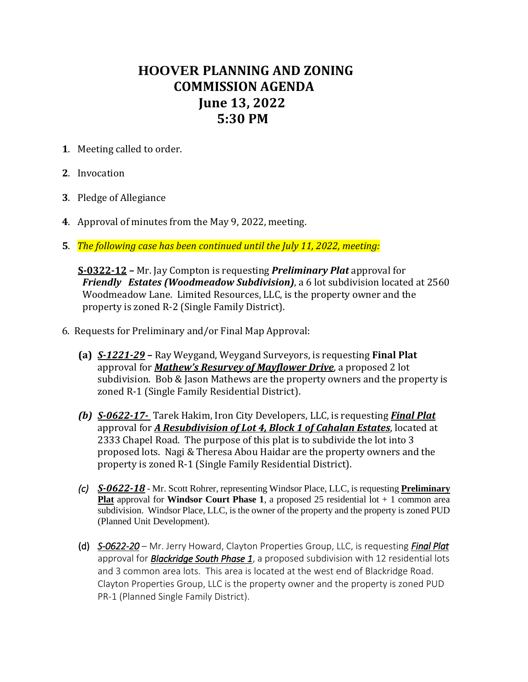## **HOOVER PLANNING AND ZONING COMMISSION AGENDA June 13, 2022 5:30 PM**

- **1**. Meeting called to order.
- **2**. Invocation
- **3**. Pledge of Allegiance
- **4**. Approval of minutes from the May 9, 2022, meeting.
- **5**. *The following case has been continued until the July 11, 2022, meeting:*

 **S-0322-12 –** Mr. Jay Compton is requesting *Preliminary Plat* approval for *Friendly Estates (Woodmeadow Subdivision)*, a 6 lot subdivision located at 2560 Woodmeadow Lane. Limited Resources, LLC, is the property owner and the property is zoned R-2 (Single Family District).

- 6. Requests for Preliminary and/or Final Map Approval:
	- **(a)** *S-1221-29* **–** Ray Weygand, Weygand Surveyors, is requesting **Final Plat** approval for *Mathew's Resurvey of Mayflower Drive*, a proposed 2 lot subdivision. Bob & Jason Mathews are the property owners and the property is zoned R-1 (Single Family Residential District).
	- *(b) S-0622-17-* Tarek Hakim, Iron City Developers, LLC, is requesting *Final Plat* approval for *A Resubdivision of Lot 4, Block 1 of Cahalan Estates*, located at 2333 Chapel Road. The purpose of this plat is to subdivide the lot into 3 proposed lots. Nagi & Theresa Abou Haidar are the property owners and the property is zoned R-1 (Single Family Residential District).
	- *(c) S-0622-18* Mr. Scott Rohrer, representing Windsor Place, LLC, is requesting **Preliminary Plat** approval for **Windsor Court Phase 1**, a proposed 25 residential lot + 1 common area subdivision. Windsor Place, LLC, is the owner of the property and the property is zoned PUD (Planned Unit Development).
	- (d) *S-0622-20* Mr. Jerry Howard, Clayton Properties Group, LLC, is requesting *Final Plat* approval for *Blackridge South Phase 1*, a proposed subdivision with 12 residential lots and 3 common area lots. This area is located at the west end of Blackridge Road. Clayton Properties Group, LLC is the property owner and the property is zoned PUD PR-1 (Planned Single Family District).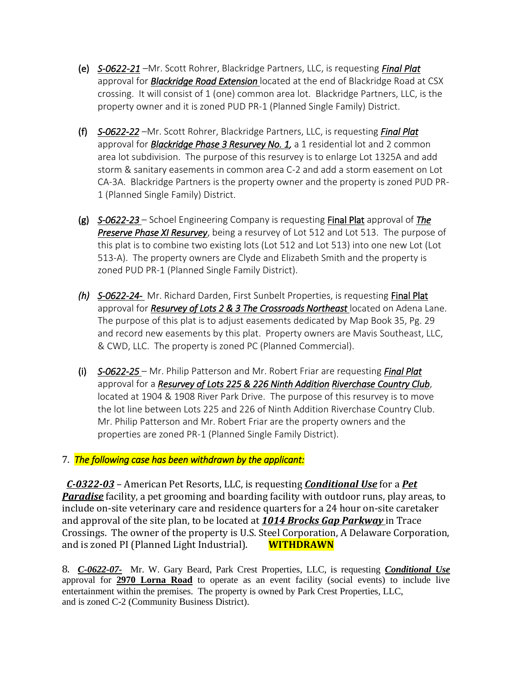- (e) *S-0622-21* –Mr. Scott Rohrer, Blackridge Partners, LLC, is requesting *Final Plat* approval for *Blackridge Road Extension* located at the end of Blackridge Road at CSX crossing. It will consist of 1 (one) common area lot. Blackridge Partners, LLC, is the property owner and it is zoned PUD PR-1 (Planned Single Family) District.
- (f) *S-0622-22* –Mr. Scott Rohrer, Blackridge Partners, LLC, is requesting *Final Plat* approval for *Blackridge Phase 3 Resurvey No. 1,* a 1 residential lot and 2 common area lot subdivision. The purpose of this resurvey is to enlarge Lot 1325A and add storm & sanitary easements in common area C-2 and add a storm easement on Lot CA-3A. Blackridge Partners is the property owner and the property is zoned PUD PR-1 (Planned Single Family) District.
- (g) *S-0622-23*  Schoel Engineering Company is requesting Final Plat approval of *The Preserve Phase XI Resurvey*, being a resurvey of Lot 512 and Lot 513. The purpose of this plat is to combine two existing lots (Lot 512 and Lot 513) into one new Lot (Lot 513-A). The property owners are Clyde and Elizabeth Smith and the property is zoned PUD PR-1 (Planned Single Family District).
- *(h) S-0622-24-* Mr. Richard Darden, First Sunbelt Properties, is requesting Final Plat approval for *Resurvey of Lots 2 & 3 The Crossroads Northeast* located on Adena Lane. The purpose of this plat is to adjust easements dedicated by Map Book 35, Pg. 29 and record new easements by this plat. Property owners are Mavis Southeast, LLC, & CWD, LLC. The property is zoned PC (Planned Commercial).
- (i) *S-0622-25*  Mr. Philip Patterson and Mr. Robert Friar are requesting *Final Plat* approval for a *Resurvey of Lots 225 & 226 Ninth Addition Riverchase Country Club*, located at 1904 & 1908 River Park Drive. The purpose of this resurvey is to move the lot line between Lots 225 and 226 of Ninth Addition Riverchase Country Club. Mr. Philip Patterson and Mr. Robert Friar are the property owners and the properties are zoned PR-1 (Planned Single Family District).

## 7. *The following case has been withdrawn by the applicant:*

*C-0322-03* – American Pet Resorts, LLC, is requesting *Conditional Use* for a *Pet Paradise* facility, a pet grooming and boarding facility with outdoor runs, play areas, to include on-site veterinary care and residence quarters for a 24 hour on-site caretaker and approval of the site plan, to be located at *1014 Brocks Gap Parkway* in Trace Crossings. The owner of the property is U.S. Steel Corporation, A Delaware Corporation, and is zoned PI (Planned Light Industrial). **WITHDRAWN**

8. *C-0622-07-* Mr. W. Gary Beard, Park Crest Properties, LLC, is requesting *Conditional Use* approval for **2970 Lorna Road** to operate as an event facility (social events) to include live entertainment within the premises. The property is owned by Park Crest Properties, LLC, and is zoned C-2 (Community Business District).